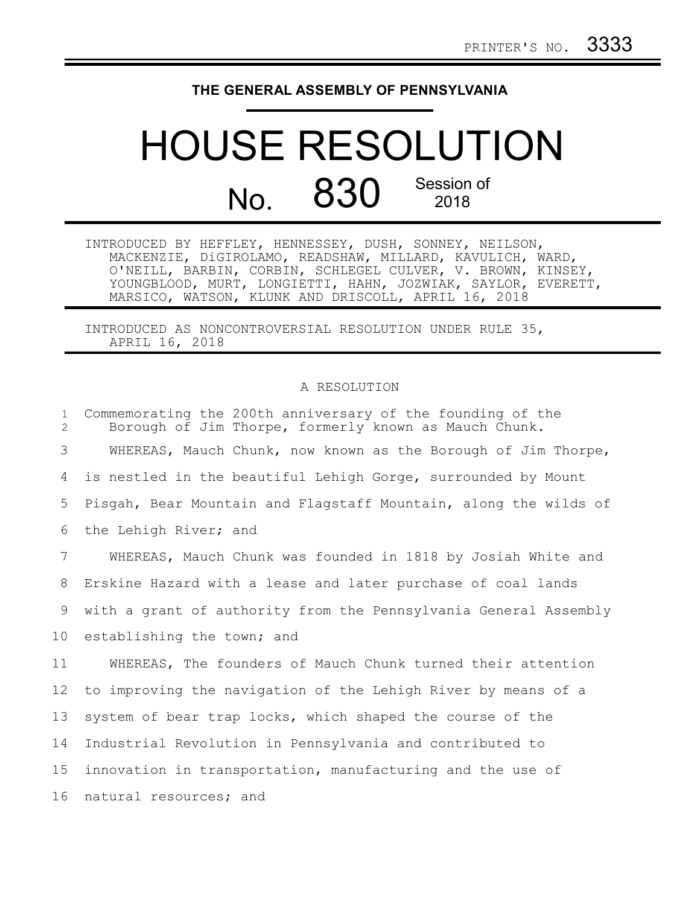## **THE GENERAL ASSEMBLY OF PENNSYLVANIA**

## HOUSE RESOLUTION No. 830 Session of 2018

INTRODUCED BY HEFFLEY, HENNESSEY, DUSH, SONNEY, NEILSON, MACKENZIE, DiGIROLAMO, READSHAW, MILLARD, KAVULICH, WARD, O'NEILL, BARBIN, CORBIN, SCHLEGEL CULVER, V. BROWN, KINSEY, YOUNGBLOOD, MURT, LONGIETTI, HAHN, JOZWIAK, SAYLOR, EVERETT, MARSICO, WATSON, KLUNK AND DRISCOLL, APRIL 16, 2018

INTRODUCED AS NONCONTROVERSIAL RESOLUTION UNDER RULE 35, APRIL 16, 2018

## A RESOLUTION

| $\mathbf{1}$<br>2 | Commemorating the 200th anniversary of the founding of the<br>Borough of Jim Thorpe, formerly known as Mauch Chunk. |
|-------------------|---------------------------------------------------------------------------------------------------------------------|
| 3                 | WHEREAS, Mauch Chunk, now known as the Borough of Jim Thorpe,                                                       |
| 4                 | is nestled in the beautiful Lehigh Gorge, surrounded by Mount                                                       |
| 5                 | Pisgah, Bear Mountain and Flagstaff Mountain, along the wilds of                                                    |
| 6                 | the Lehigh River; and                                                                                               |
| 7                 | WHEREAS, Mauch Chunk was founded in 1818 by Josiah White and                                                        |
| 8                 | Erskine Hazard with a lease and later purchase of coal lands                                                        |
| 9                 | with a grant of authority from the Pennsylvania General Assembly                                                    |
| 10                | establishing the town; and                                                                                          |
| 11                | WHEREAS, The founders of Mauch Chunk turned their attention                                                         |
| 12                | to improving the navigation of the Lehigh River by means of a                                                       |
| 13                | system of bear trap locks, which shaped the course of the                                                           |
| 14                | Industrial Revolution in Pennsylvania and contributed to                                                            |
| 15                | innovation in transportation, manufacturing and the use of                                                          |
| 16                | natural resources; and                                                                                              |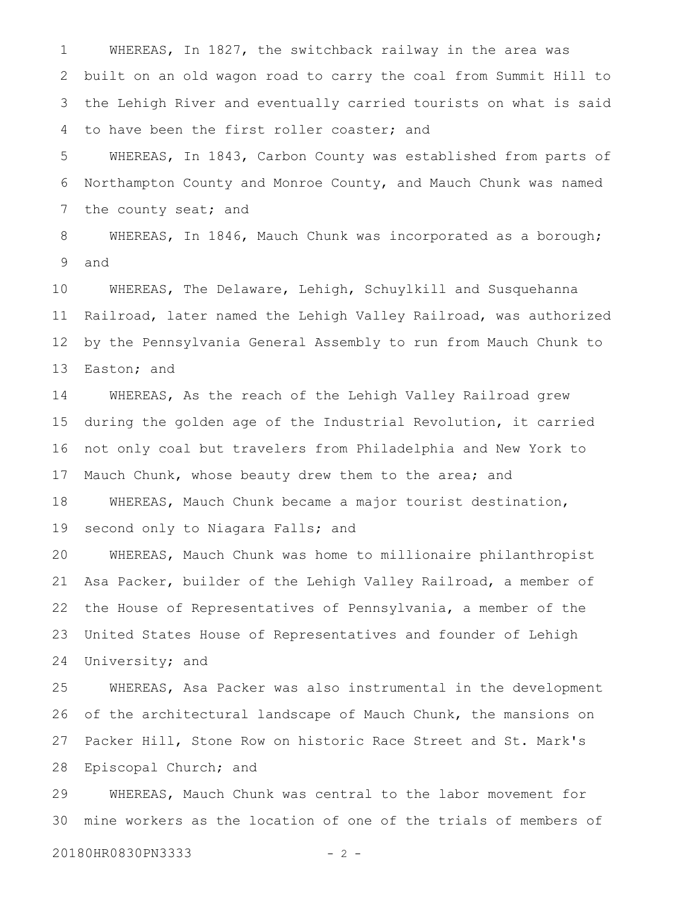WHEREAS, In 1827, the switchback railway in the area was built on an old wagon road to carry the coal from Summit Hill to the Lehigh River and eventually carried tourists on what is said to have been the first roller coaster; and 1 2 3 4

WHEREAS, In 1843, Carbon County was established from parts of Northampton County and Monroe County, and Mauch Chunk was named the county seat; and 5 6 7

WHEREAS, In 1846, Mauch Chunk was incorporated as a borough; and 8 9

WHEREAS, The Delaware, Lehigh, Schuylkill and Susquehanna Railroad, later named the Lehigh Valley Railroad, was authorized by the Pennsylvania General Assembly to run from Mauch Chunk to Easton; and 10 11 12 13

WHEREAS, As the reach of the Lehigh Valley Railroad grew during the golden age of the Industrial Revolution, it carried not only coal but travelers from Philadelphia and New York to Mauch Chunk, whose beauty drew them to the area; and WHEREAS, Mauch Chunk became a major tourist destination, second only to Niagara Falls; and 14 15 16 17 18 19

WHEREAS, Mauch Chunk was home to millionaire philanthropist Asa Packer, builder of the Lehigh Valley Railroad, a member of the House of Representatives of Pennsylvania, a member of the United States House of Representatives and founder of Lehigh University; and 20 21 22 23 24

WHEREAS, Asa Packer was also instrumental in the development of the architectural landscape of Mauch Chunk, the mansions on Packer Hill, Stone Row on historic Race Street and St. Mark's Episcopal Church; and 25 26 27 28

WHEREAS, Mauch Chunk was central to the labor movement for mine workers as the location of one of the trials of members of 29 30

20180HR0830PN3333 - 2 -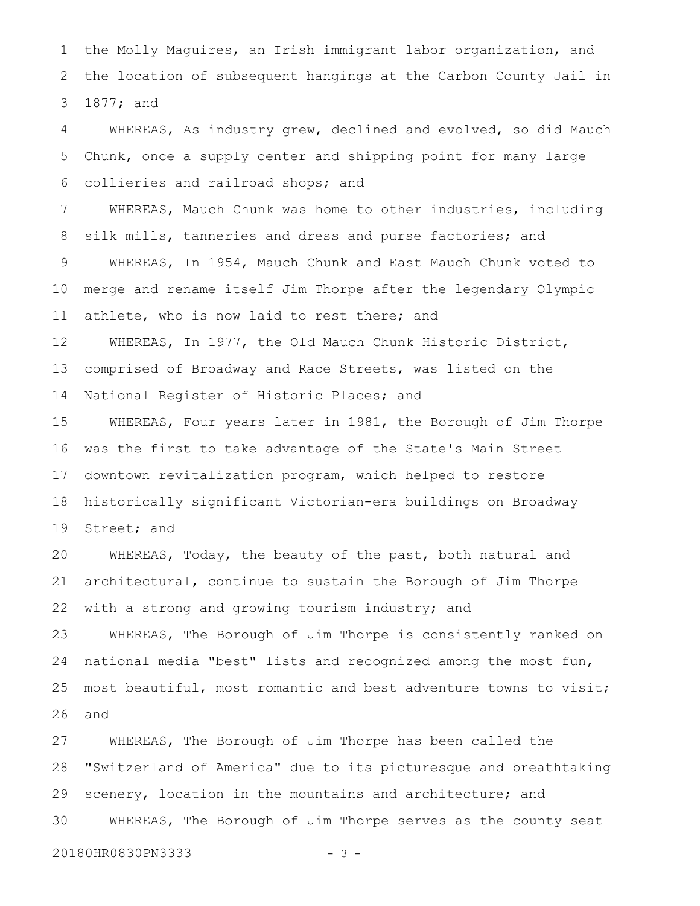the Molly Maguires, an Irish immigrant labor organization, and the location of subsequent hangings at the Carbon County Jail in 1877; and 1 2 3

WHEREAS, As industry grew, declined and evolved, so did Mauch Chunk, once a supply center and shipping point for many large collieries and railroad shops; and 4 5 6

WHEREAS, Mauch Chunk was home to other industries, including silk mills, tanneries and dress and purse factories; and WHEREAS, In 1954, Mauch Chunk and East Mauch Chunk voted to merge and rename itself Jim Thorpe after the legendary Olympic athlete, who is now laid to rest there; and 7 8 9 10 11

WHEREAS, In 1977, the Old Mauch Chunk Historic District, comprised of Broadway and Race Streets, was listed on the National Register of Historic Places; and 12 13 14

WHEREAS, Four years later in 1981, the Borough of Jim Thorpe was the first to take advantage of the State's Main Street downtown revitalization program, which helped to restore historically significant Victorian-era buildings on Broadway Street; and 15 16 17 18 19

WHEREAS, Today, the beauty of the past, both natural and architectural, continue to sustain the Borough of Jim Thorpe with a strong and growing tourism industry; and 20 21 22

WHEREAS, The Borough of Jim Thorpe is consistently ranked on national media "best" lists and recognized among the most fun, most beautiful, most romantic and best adventure towns to visit; and 23 24 25 26

WHEREAS, The Borough of Jim Thorpe has been called the "Switzerland of America" due to its picturesque and breathtaking scenery, location in the mountains and architecture; and WHEREAS, The Borough of Jim Thorpe serves as the county seat 27 28 29 30

20180HR0830PN3333 - 3 -